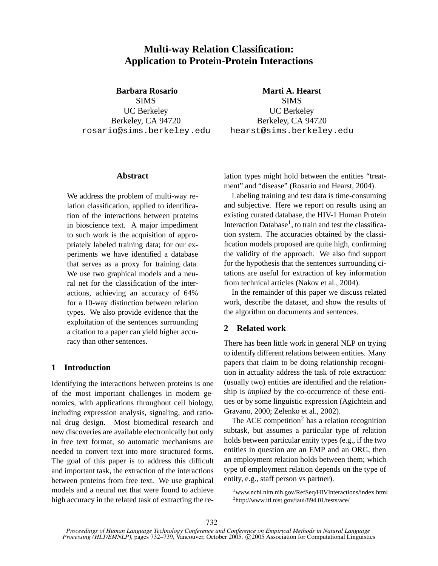# **Multi-way Relation Classification: Application to Protein-Protein Interactions**

**Barbara Rosario**

SIMS UC Berkeley Berkeley, CA 94720 rosario@sims.berkeley.edu

**Marti A. Hearst SIMS** UC Berkeley Berkeley, CA 94720 hearst@sims.berkeley.edu

## **Abstract**

We address the problem of multi-way relation classification, applied to identification of the interactions between proteins in bioscience text. A major impediment to such work is the acquisition of appropriately labeled training data; for our experiments we have identified a database that serves as a proxy for training data. We use two graphical models and a neural net for the classification of the interactions, achieving an accuracy of 64% for a 10-way distinction between relation types. We also provide evidence that the exploitation of the sentences surrounding a citation to a paper can yield higher accuracy than other sentences.

## **1 Introduction**

Identifying the interactions between proteins is one of the most important challenges in modern genomics, with applications throughout cell biology, including expression analysis, signaling, and rational drug design. Most biomedical research and new discoveries are available electronically but only in free text format, so automatic mechanisms are needed to convert text into more structured forms. The goal of this paper is to address this difficult and important task, the extraction of the interactions between proteins from free text. We use graphical models and a neural net that were found to achieve high accuracy in the related task of extracting the relation types might hold between the entities "treatment" and "disease" (Rosario and Hearst, 2004).

Labeling training and test data is time-consuming and subjective. Here we report on results using an existing curated database, the HIV-1 Human Protein Interaction Database<sup>1</sup>, to train and test the classification system. The accuracies obtained by the classification models proposed are quite high, confirming the validity of the approach. We also find support for the hypothesis that the sentences surrounding citations are useful for extraction of key information from technical articles (Nakov et al., 2004).

In the remainder of this paper we discuss related work, describe the dataset, and show the results of the algorithm on documents and sentences.

## **2 Related work**

There has been little work in general NLP on trying to identify different relations between entities. Many papers that claim to be doing relationship recognition in actuality address the task of role extraction: (usually two) entities are identified and the relationship is *implied* by the co-occurrence of these entities or by some linguistic expression (Agichtein and Gravano, 2000; Zelenko et al., 2002).

The ACE competition<sup>2</sup> has a relation recognition subtask, but assumes a particular type of relation holds between particular entity types (e.g., if the two entities in question are an EMP and an ORG, then an employment relation holds between them; which type of employment relation depends on the type of entity, e.g., staff person vs partner).

<sup>&</sup>lt;sup>1</sup>www.ncbi.nlm.nih.gov/RefSeq/HIVInteractions/index.html <sup>2</sup>http://www.itl.nist.gov/iaui/894.01/tests/ace/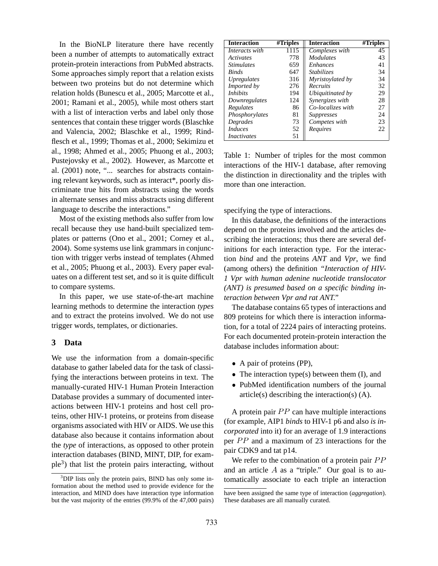In the BioNLP literature there have recently been a number of attempts to automatically extract protein-protein interactions from PubMed abstracts. Some approaches simply report that a relation exists between two proteins but do not determine which relation holds (Bunescu et al., 2005; Marcotte et al., 2001; Ramani et al., 2005), while most others start with a list of interaction verbs and label only those sentences that contain these trigger words (Blaschke and Valencia, 2002; Blaschke et al., 1999; Rindflesch et al., 1999; Thomas et al., 2000; Sekimizu et al., 1998; Ahmed et al., 2005; Phuong et al., 2003; Pustejovsky et al., 2002). However, as Marcotte et al. (2001) note, "... searches for abstracts containing relevant keywords, such as interact\*, poorly discriminate true hits from abstracts using the words in alternate senses and miss abstracts using different language to describe the interactions."

Most of the existing methods also suffer from low recall because they use hand-built specialized templates or patterns (Ono et al., 2001; Corney et al., 2004). Some systems use link grammars in conjunction with trigger verbs instead of templates (Ahmed et al., 2005; Phuong et al., 2003). Every paper evaluates on a different test set, and so it is quite difficult to compare systems.

In this paper, we use state-of-the-art machine learning methods to determine the interaction *types* and to extract the proteins involved. We do not use trigger words, templates, or dictionaries.

#### **3 Data**

We use the information from a domain-specific database to gather labeled data for the task of classifying the interactions between proteins in text. The manually-curated HIV-1 Human Protein Interaction Database provides a summary of documented interactions between HIV-1 proteins and host cell proteins, other HIV-1 proteins, or proteins from disease organisms associated with HIV or AIDS. We use this database also because it contains information about the *type* of interactions, as opposed to other protein interaction databases (BIND, MINT, DIP, for example<sup>3</sup> ) that list the protein pairs interacting, without

| <b>Interaction</b>              | #Triples | <b>Interaction</b> | #Triples |
|---------------------------------|----------|--------------------|----------|
| Interacts with                  | 1115     | Complexes with     | 45       |
| <i><u>Activates</u></i>         | 778      | <b>Modulates</b>   | 43       |
| <i><u><b>Stimulates</b></u></i> | 659      | <i>Enhances</i>    | 41       |
| <b>Binds</b>                    | 647      | <b>Stabilizes</b>  | 34       |
| <i>Upregulates</i>              | 316      | Myristoylated by   | 34       |
| Imported by                     | 276      | Recruits           | 32       |
| <i>Inhibits</i>                 | 194      | Ubiquitinated by   | 29       |
| Downregulates                   | 124      | Synergizes with    | 28       |
| Regulates                       | 86       | Co-localizes with  | 27       |
| Phosphorylates                  | 81       | <b>Suppresses</b>  | 24       |
| Degrades                        | 73       | Competes with      | 23       |
| <i>Induces</i>                  | 52       | Requires           | 22       |
| <i>Inactivates</i>              | 51       |                    |          |

Table 1: Number of triples for the most common interactions of the HIV-1 database, after removing the distinction in directionality and the triples with more than one interaction.

specifying the type of interactions.

In this database, the definitions of the interactions depend on the proteins involved and the articles describing the interactions; thus there are several definitions for each interaction type. For the interaction *bind* and the proteins *ANT* and *Vpr*, we find (among others) the definition *"Interaction of HIV-1 Vpr with human adenine nucleotide translocator (ANT) is presumed based on a specific binding interaction between Vpr and rat ANT."*

The database contains 65 types of interactions and 809 proteins for which there is interaction information, for a total of 2224 pairs of interacting proteins. For each documented protein-protein interaction the database includes information about:

- A pair of proteins (PP),
- $\bullet$  The interaction type(s) between them (I), and
- PubMed identification numbers of the journal article(s) describing the interaction(s) (A).

A protein pair  $PP$  can have multiple interactions (for example, AIP1 *binds* to HIV-1 p6 and also *is incorporated* into it) for an average of 1.9 interactions per  $PP$  and a maximum of 23 interactions for the pair CDK9 and tat p14.

We refer to the combination of a protein pair  $PP$ and an article  $A$  as a "triple." Our goal is to automatically associate to each triple an interaction

<sup>&</sup>lt;sup>3</sup>DIP lists only the protein pairs, BIND has only some information about the method used to provide evidence for the interaction, and MIND does have interaction type information but the vast majority of the entries (99.9% of the 47,000 pairs)

have been assigned the same type of interaction (*aggregation*). These databases are all manually curated.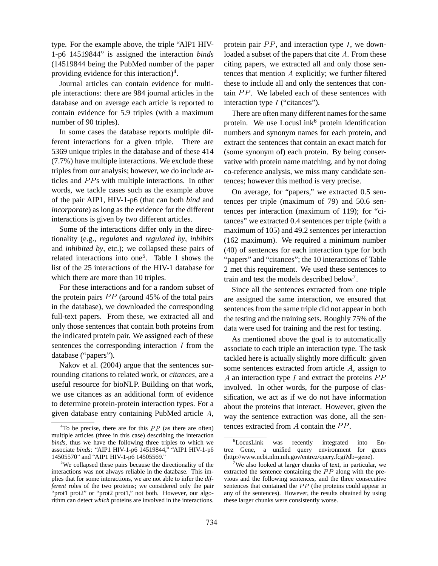type. For the example above, the triple "AIP1 HIV-1-p6 14519844" is assigned the interaction *binds* (14519844 being the PubMed number of the paper providing evidence for this interaction)<sup>4</sup>.

Journal articles can contain evidence for multiple interactions: there are 984 journal articles in the database and on average each article is reported to contain evidence for 5.9 triples (with a maximum number of 90 triples).

In some cases the database reports multiple different interactions for a given triple. There are 5369 unique triples in the database and of these 414 (7.7%) have multiple interactions. We exclude these triples from our analysis; however, we do include articles and PPs with multiple interactions. In other words, we tackle cases such as the example above of the pair AIP1, HIV-1-p6 (that can both *bind* and *incorporate*) as long as the evidence for the different interactions is given by two different articles.

Some of the interactions differ only in the directionality (e.g., *regulates* and *regulated by*, *inhibits* and *inhibited by*, etc.); we collapsed these pairs of related interactions into one<sup>5</sup>. Table 1 shows the list of the 25 interactions of the HIV-1 database for which there are more than 10 triples.

For these interactions and for a random subset of the protein pairs  $PP$  (around 45% of the total pairs in the database), we downloaded the corresponding full-text papers. From these, we extracted all and only those sentences that contain both proteins from the indicated protein pair. We assigned each of these sentences the corresponding interaction  $I$  from the database ("papers").

Nakov et al. (2004) argue that the sentences surrounding citations to related work, or *citances*, are a useful resource for bioNLP. Building on that work, we use citances as an additional form of evidence to determine protein-protein interaction types. For a given database entry containing PubMed article  $A$ ,

protein pair  $PP$ , and interaction type  $I$ , we downloaded a subset of the papers that cite  $A$ . From these citing papers, we extracted all and only those sentences that mention  $A$  explicitly; we further filtered these to include all and only the sentences that contain  $PP$ . We labeled each of these sentences with interaction type  $I$  ("citances").

There are often many different names for the same protein. We use  $LocusLink<sup>6</sup>$  protein identification numbers and synonym names for each protein, and extract the sentences that contain an exact match for (some synonym of) each protein. By being conservative with protein name matching, and by not doing co-reference analysis, we miss many candidate sentences; however this method is very precise.

On average, for "papers," we extracted 0.5 sentences per triple (maximum of 79) and 50.6 sentences per interaction (maximum of 119); for "citances" we extracted 0.4 sentences per triple (with a maximum of 105) and 49.2 sentences per interaction (162 maximum). We required a minimum number (40) of sentences for each interaction type for both "papers" and "citances"; the 10 interactions of Table 2 met this requirement. We used these sentences to train and test the models described below 7 .

Since all the sentences extracted from one triple are assigned the same interaction, we ensured that sentences from the same triple did not appear in both the testing and the training sets. Roughly 75% of the data were used for training and the rest for testing.

As mentioned above the goal is to automatically associate to each triple an interaction type. The task tackled here is actually slightly more difficult: given some sentences extracted from article  $A$ , assign to A an interaction type I and extract the proteins  $PP$ involved. In other words, for the purpose of classification, we act as if we do not have information about the proteins that interact. However, given the way the sentence extraction was done, all the sentences extracted from  $A$  contain the  $PP$ .

 ${}^{4}$ To be precise, there are for this  $PP$  (as there are often) multiple articles (three in this case) describing the interaction *binds*, thus we have the following three triples to which we associate *binds*: "AIP1 HIV-1-p6 14519844," "AIP1 HIV-1-p6 14505570" and "AIP1 HIV-1-p6 14505569."

 $5$ We collapsed these pairs because the directionality of the interactions was not always reliable in the database. This implies that for some interactions, we are not able to infer the *different* roles of the two proteins; we considered only the pair "prot1 prot2" or "prot2 prot1," not both. However, our algorithm can detect *which* proteins are involved in the interactions.

<sup>&</sup>lt;sup>6</sup>LocusLink was recently integrated into Entrez Gene, a unified query environment for genes (http://www.ncbi.nlm.nih.gov/entrez/query.fcgi?db=gene).

We also looked at larger chunks of text, in particular, we extracted the sentence containing the  $PP$  along with the previous and the following sentences, and the three consecutive sentences that contained the  $PP$  (the proteins could appear in any of the sentences). However, the results obtained by using these larger chunks were consistently worse.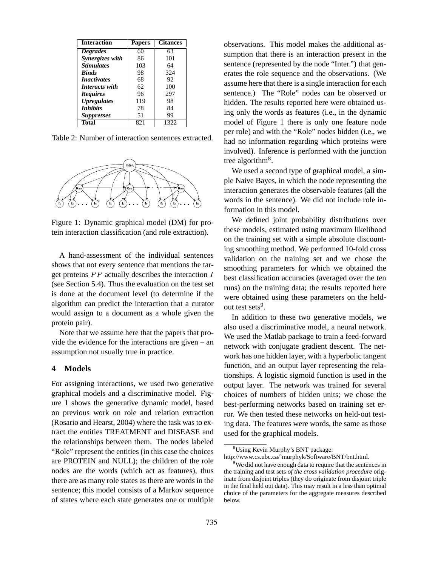| Interaction        | <b>Papers</b> | <b>Citances</b> |
|--------------------|---------------|-----------------|
| <b>Degrades</b>    | 60            | 63              |
| Synergizes with    | 86            | 101             |
| <b>Stimulates</b>  | 103           | 64              |
| <b>Binds</b>       | 98            | 324             |
| <i>Inactivates</i> | 68            | 92              |
| Interacts with     | 62.           | 100             |
| <b>Requires</b>    | 96            | 297             |
| <b>Upregulates</b> | 119           | 98              |
| <b>Inhibits</b>    | 78            | 84              |
| <b>Suppresses</b>  | 51            | 99              |
| Total              | 821           | 1322            |

Table 2: Number of interaction sentences extracted.



Figure 1: Dynamic graphical model (DM) for protein interaction classification (and role extraction).

A hand-assessment of the individual sentences shows that not every sentence that mentions the target proteins  $PP$  actually describes the interaction  $I_{\text{best}}$ (see Section 5.4). Thus the evaluation on the test set is done at the document level (to determine if the algorithm can predict the interaction that a curator would assign to a document as a whole given the protein pair).

Note that we assume here that the papers that provide the evidence for the interactions are given – an assumption not usually true in practice.

#### **4 Models**

For assigning interactions, we used two generative graphical models and a discriminative model. Figure 1 shows the generative dynamic model, based on previous work on role and relation extraction (Rosario and Hearst, 2004) where the task was to extract the entities TREATMENT and DISEASE and the relationships between them. The nodes labeled "Role" represent the entities (in this case the choices are PROTEIN and NULL); the children of the role nodes are the words (which act as features), thus there are as many role states as there are words in the sentence; this model consists of a Markov sequence of states where each state generates one or multiple

observations. This model makes the additional assumption that there is an interaction present in the sentence (represented by the node "Inter.") that generates the role sequence and the observations. (We assume here that there is a single interaction for each sentence.) The "Role" nodes can be observed or hidden. The results reported here were obtained using only the words as features (i.e., in the dynamic model of Figure 1 there is only one feature node per role) and with the "Role" nodes hidden (i.e., we had no information regarding which proteins were involved). Inference is performed with the junction tree algorithm<sup>8</sup>.

We used a second type of graphical model, a simple Naive Bayes, in which the node representing the interaction generates the observable features (all the words in the sentence). We did not include role information in this model.

We defined joint probability distributions over these models, estimated using maximum likelihood on the training set with a simple absolute discounting smoothing method. We performed 10-fold cross validation on the training set and we chose the smoothing parameters for which we obtained the best classification accuracies (averaged over the ten runs) on the training data; the results reported here were obtained using these parameters on the heldout test sets<sup>9</sup>.

In addition to these two generative models, we also used a discriminative model, a neural network. We used the Matlab package to train a feed-forward network with conjugate gradient descent. The network has one hidden layer, with a hyperbolic tangent function, and an output layer representing the relationships. A logistic sigmoid function is used in the output layer. The network was trained for several choices of numbers of hidden units; we chose the best-performing networks based on training set error. We then tested these networks on held-out testing data. The features were words, the same as those used for the graphical models.

<sup>8</sup>Using Kevin Murphy's BNT package:

http://www.cs.ubc.ca/˜murphyk/Software/BNT/bnt.html. <sup>9</sup>We did not have enough data to require that the sentences in

the training and test sets *of the cross validation procedure* originate from disjoint triples (they do originate from disjoint triple in the final held out data). This may result in a less than optimal choice of the parameters for the aggregate measures described below.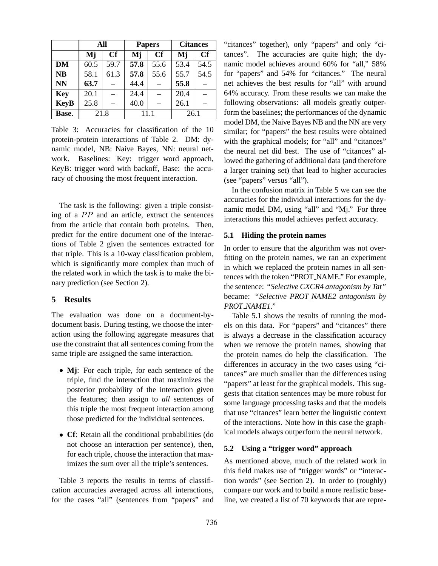|             | All      |      |      | <b>Papers</b> | <b>Citances</b> |           |  |
|-------------|----------|------|------|---------------|-----------------|-----------|--|
|             | Cf<br>Mj |      | Mj   | Cf            | Mj              | <b>Cf</b> |  |
| <b>DM</b>   | 60.5     | 59.7 | 57.8 | 55.6          | 53.4            | 54.5      |  |
| <b>NB</b>   | 58.1     | 61.3 | 57.8 | 55.6          | 55.7            | 54.5      |  |
| <b>NN</b>   | 63.7     |      | 44.4 |               | 55.8            |           |  |
| <b>Key</b>  | 20.1     |      | 24.4 |               | 20.4            |           |  |
| <b>KeyB</b> | 25.8     |      | 40.0 |               | 26.1            |           |  |
| Base.       | 21.8     |      |      | 11 1          | 26.1            |           |  |

Table 3: Accuracies for classification of the 10 protein-protein interactions of Table 2. DM: dynamic model, NB: Naive Bayes, NN: neural network. Baselines: Key: trigger word approach, KeyB: trigger word with backoff, Base: the accuracy of choosing the most frequent interaction.

The task is the following: given a triple consisting of a  $PP$  and an article, extract the sentences from the article that contain both proteins. Then, predict for the entire document one of the interactions of Table 2 given the sentences extracted for that triple. This is a 10-way classification problem, which is significantly more complex than much of the related work in which the task is to make the binary prediction (see Section 2).

## **5 Results**

The evaluation was done on a document-bydocument basis. During testing, we choose the interaction using the following aggregate measures that use the constraint that all sentences coming from the same triple are assigned the same interaction.

- **Mj**: For each triple, for each sentence of the triple, find the interaction that maximizes the posterior probability of the interaction given the features; then assign to *all* sentences of this triple the most frequent interaction among those predicted for the individual sentences.
- **Cf**: Retain all the conditional probabilities (do not choose an interaction per sentence), then, for each triple, choose the interaction that maximizes the sum over all the triple's sentences.

Table 3 reports the results in terms of classification accuracies averaged across all interactions, for the cases "all" (sentences from "papers" and "citances" together), only "papers" and only "citances". The accuracies are quite high; the dynamic model achieves around 60% for "all," 58% for "papers" and 54% for "citances." The neural net achieves the best results for "all" with around 64% accuracy. From these results we can make the following observations: all models greatly outperform the baselines; the performances of the dynamic model DM, the Naive Bayes NB and the NN are very similar; for "papers" the best results were obtained with the graphical models; for "all" and "citances" the neural net did best. The use of "citances" allowed the gathering of additional data (and therefore a larger training set) that lead to higher accuracies (see "papers" versus "all").

In the confusion matrix in Table 5 we can see the accuracies for the individual interactions for the dynamic model DM, using "all" and "Mj." For three interactions this model achieves perfect accuracy.

## **5.1 Hiding the protein names**

In order to ensure that the algorithm was not overfitting on the protein names, we ran an experiment in which we replaced the protein names in all sentences with the token "PROT NAME." For example, the sentence: *"Selective CXCR4 antagonism by Tat"* became: *"Selective PROT NAME2 antagonism by PROT NAME1."*

Table 5.1 shows the results of running the models on this data. For "papers" and "citances" there is always a decrease in the classification accuracy when we remove the protein names, showing that the protein names do help the classification. The differences in accuracy in the two cases using "citances" are much smaller than the differences using "papers" at least for the graphical models. This suggests that citation sentences may be more robust for some language processing tasks and that the models that use "citances" learn better the linguistic context of the interactions. Note how in this case the graphical models always outperform the neural network.

## **5.2 Using a "trigger word" approach**

As mentioned above, much of the related work in this field makes use of "trigger words" or "interaction words" (see Section 2). In order to (roughly) compare our work and to build a more realistic baseline, we created a list of 70 keywords that are repre-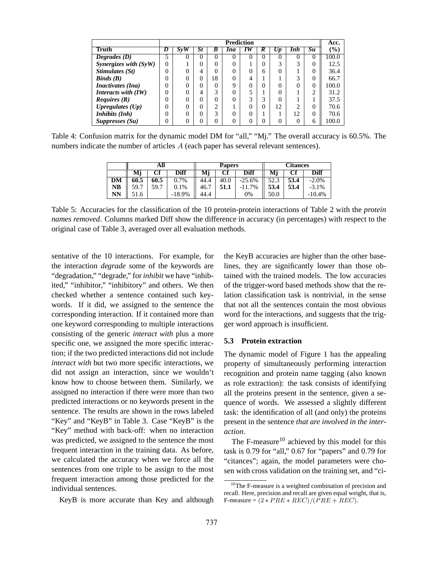|                                           | <b>Prediction</b> |          |    |          |          |          | Acc.     |    |          |                |        |
|-------------------------------------------|-------------------|----------|----|----------|----------|----------|----------|----|----------|----------------|--------|
| Truth                                     |                   | Sv W     | St | B        | Ina      | 1 W      | K        | Up | Inh      | Su             | $(\%)$ |
| Degrades $(D)$                            | 5                 | $\theta$ | 0  | $\theta$ | $\Omega$ | $\Omega$ | $\theta$ | 0  | $\theta$ | 0              | 100.0  |
| Synergizes with $(SyW)$                   | $\theta$          |          | 0  | 0        | $\Omega$ |          | 0        | 3  | 3        | 0              | 12.5   |
| Stimulates (St)                           |                   | 0        | 4  | 0        | 0        |          | 6        | 0  |          | 0              | 36.4   |
| $\mathbf{B}$ <i>inds</i> ( $\mathbf{B}$ ) |                   | 0        | 0  | 18       | $\Omega$ |          |          |    | 3        | 0              | 66.7   |
| <i>Inactivates (Ina)</i>                  |                   | 0        | 0  | 0        | 9        |          | 0        | 0  |          | $\overline{0}$ | 100.0  |
| Interacts with $(IW)$                     |                   | 0        | 4  | 3        | $\Omega$ |          |          | 0  |          | ◠              | 31.2   |
| <i>Requires</i> $(R)$                     |                   | 0        | 0  | 0        | $\Omega$ | 3        | 3        | 0  |          |                | 37.5   |
| Upregulates $(Up)$                        |                   | 0        | 0  | 2        |          |          | 0        | 12 | ◠        | 0              | 70.6   |
| Inhibits (Inh)                            |                   | 0        | 0  | 3        | $\Omega$ |          |          |    | 12       | $\theta$       | 70.6   |
| Suppresses (Su)                           |                   | 0        | 0  | 0        | $\Omega$ |          | 0        | 0  |          | 6              | 100.0  |

Table 4: Confusion matrix for the dynamic model DM for "all," "Mj." The overall accuracy is 60.5%. The numbers indicate the number of articles  $A$  (each paper has several relevant sentences).

|    | All  |      |          |      | <b>Papers</b> |          | Citances |      |          |  |
|----|------|------|----------|------|---------------|----------|----------|------|----------|--|
|    | Мj   | Сf   | Diff     | Мj   | Cf            | Diff     | Мj       | Cf   | Diff     |  |
| DM | 60.5 | 60.5 | 0.7%     | 44.4 | 40.0          | $-25.6%$ | 52.3     | 53.4 | $-2.0\%$ |  |
| NB | 59.7 | 59.7 | 0.1%     | 46.7 | 51.1          | 11.7%    | 53.4     | 53.4 | $-3.1%$  |  |
| NN | 1.6  |      | $-18.9%$ | 44.4 |               | 0%       | 50.0     |      | $-10.4%$ |  |

Table 5: Accuracies for the classification of the 10 protein-protein interactions of Table 2 with the *protein names removed*. Columns marked Diff show the difference in accuracy (in percentages) with respect to the original case of Table 3, averaged over all evaluation methods.

sentative of the 10 interactions. For example, for the interaction *degrade* some of the keywords are "degradation," "degrade," for *inhibit* we have "inhibited," "inhibitor," "inhibitory" and others. We then checked whether a sentence contained such keywords. If it did, we assigned to the sentence the corresponding interaction. If it contained more than one keyword corresponding to multiple interactions consisting of the generic *interact with* plus a more specific one, we assigned the more specific interaction; if the two predicted interactions did not include *interact with* but two more specific interactions, we did not assign an interaction, since we wouldn't know how to choose between them. Similarly, we assigned no interaction if there were more than two predicted interactions or no keywords present in the sentence. The results are shown in the rows labeled "Key" and "KeyB" in Table 3. Case "KeyB" is the "Key" method with back-off: when no interaction was predicted, we assigned to the sentence the most frequent interaction in the training data. As before, we calculated the accuracy when we force all the sentences from one triple to be assign to the most frequent interaction among those predicted for the individual sentences.

KeyB is more accurate than Key and although

the KeyB accuracies are higher than the other baselines, they are significantly lower than those obtained with the trained models. The low accuracies of the trigger-word based methods show that the relation classification task is nontrivial, in the sense that not all the sentences contain the most obvious word for the interactions, and suggests that the trigger word approach is insufficient.

### **5.3 Protein extraction**

The dynamic model of Figure 1 has the appealing property of simultaneously performing interaction recognition and protein name tagging (also known as role extraction): the task consists of identifying all the proteins present in the sentence, given a sequence of words. We assessed a slightly different task: the identification of all (and only) the proteins present in the sentence *that are involved in the interaction*.

The F-measure<sup>10</sup> achieved by this model for this task is 0.79 for "all," 0.67 for "papers" and 0.79 for "citances"; again, the model parameters were chosen with cross validation on the training set, and "ci-

<sup>&</sup>lt;sup>10</sup>The F-measure is a weighted combination of precision and recall. Here, precision and recall are given equal weight, that is, F-measure =  $(2 * PRE * REC)/(PRE + REC)$ .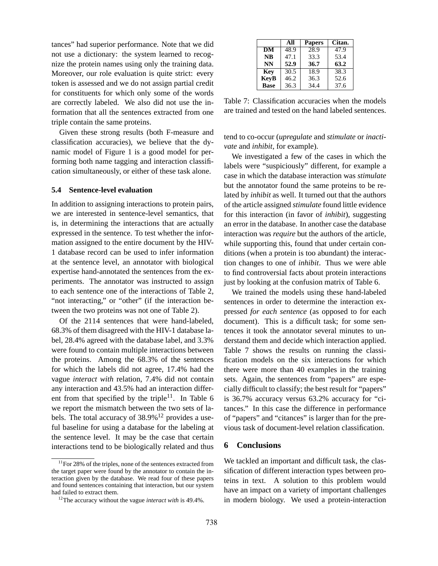tances" had superior performance. Note that we did not use a dictionary: the system learned to recognize the protein names using only the training data. Moreover, our role evaluation is quite strict: every token is assessed and we do not assign partial credit for constituents for which only some of the words are correctly labeled. We also did not use the information that all the sentences extracted from one triple contain the same proteins.

Given these strong results (both F-measure and classification accuracies), we believe that the dynamic model of Figure 1 is a good model for performing both name tagging and interaction classification simultaneously, or either of these task alone.

### **5.4 Sentence-level evaluation**

In addition to assigning interactions to protein pairs, we are interested in sentence-level semantics, that is, in determining the interactions that are actually expressed in the sentence. To test whether the information assigned to the entire document by the HIV-1 database record can be used to infer information at the sentence level, an annotator with biological expertise hand-annotated the sentences from the experiments. The annotator was instructed to assign to each sentence one of the interactions of Table 2, "not interacting," or "other" (if the interaction between the two proteins was not one of Table 2).

Of the 2114 sentences that were hand-labeled, 68.3% of them disagreed with the HIV-1 database label, 28.4% agreed with the database label, and 3.3% were found to contain multiple interactions between the proteins. Among the 68.3% of the sentences for which the labels did not agree, 17.4% had the vague *interact with* relation, 7.4% did not contain any interaction and 43.5% had an interaction different from that specified by the triple<sup>11</sup>. In Table 6 we report the mismatch between the two sets of labels. The total accuracy of  $38.9\%$ <sup>12</sup> provides a useful baseline for using a database for the labeling at the sentence level. It may be the case that certain interactions tend to be biologically related and thus

|             | All  | <b>Papers</b> | Citan. |
|-------------|------|---------------|--------|
| DM          | 48.9 | 28.9          | 47.9   |
| <b>NB</b>   | 47.1 | 33.3          | 53.4   |
| <b>NN</b>   | 52.9 | 36.7          | 63.2   |
| Key         | 30.5 | 18.9          | 38.3   |
| <b>KevB</b> | 46.2 | 36.3          | 52.6   |
| <b>Base</b> | 36.3 | 34.4          | 37.6   |

Table 7: Classification accuracies when the models are trained and tested on the hand labeled sentences.

tend to co-occur (*upregulate* and *stimulate* or *inactivate* and *inhibit*, for example).

We investigated a few of the cases in which the labels were "suspiciously" different, for example a case in which the database interaction was *stimulate* but the annotator found the same proteins to be related by *inhibit* as well. It turned out that the authors of the article assigned *stimulate* found little evidence for this interaction (in favor of *inhibit*), suggesting an error in the database. In another case the database interaction was *require* but the authors of the article, while supporting this, found that under certain conditions (when a protein is too abundant) the interaction changes to one of *inhibit*. Thus we were able to find controversial facts about protein interactions just by looking at the confusion matrix of Table 6.

We trained the models using these hand-labeled sentences in order to determine the interaction expressed *for each sentence* (as opposed to for each document). This is a difficult task; for some sentences it took the annotator several minutes to understand them and decide which interaction applied. Table 7 shows the results on running the classification models on the six interactions for which there were more than 40 examples in the training sets. Again, the sentences from "papers" are especially difficult to classify; the best result for "papers" is 36.7% accuracy versus 63.2% accuracy for "citances." In this case the difference in performance of "papers" and "citances" is larger than for the previous task of document-level relation classification.

#### **6 Conclusions**

We tackled an important and difficult task, the classification of different interaction types between proteins in text. A solution to this problem would have an impact on a variety of important challenges in modern biology. We used a protein-interaction

 $11$  For 28% of the triples, none of the sentences extracted from the target paper were found by the annotator to contain the interaction given by the database. We read four of these papers and found sentences containing that interaction, but our system had failed to extract them.

<sup>12</sup>The accuracy without the vague *interact with* is 49.4%.